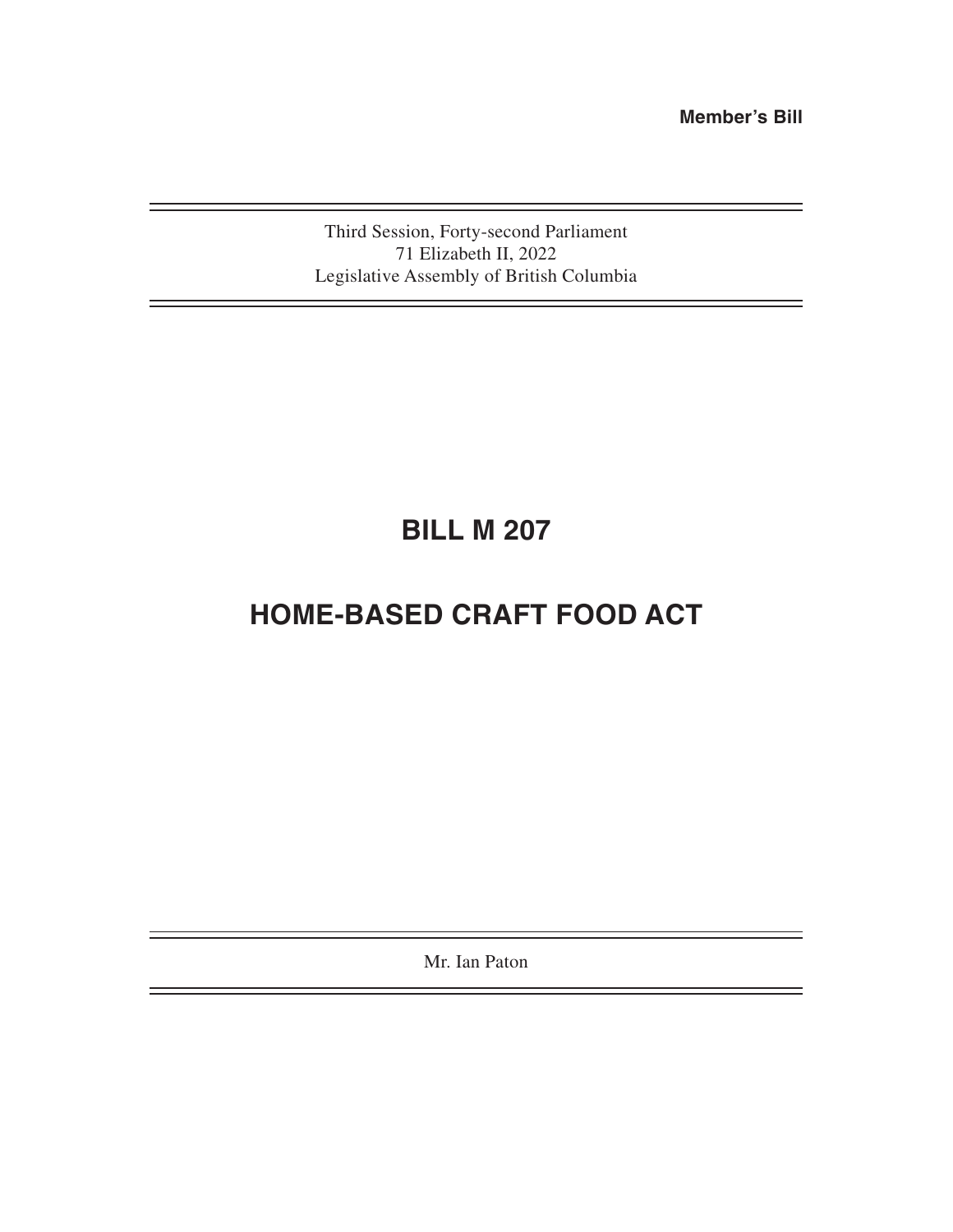**Member's Bill**

۳

Third Session, Forty-second Parliament 71 Elizabeth II, 2022 Legislative Assembly of British Columbia

# **BILL M 207**

## **HOME-BASED CRAFT FOOD ACT**

Mr. Ian Paton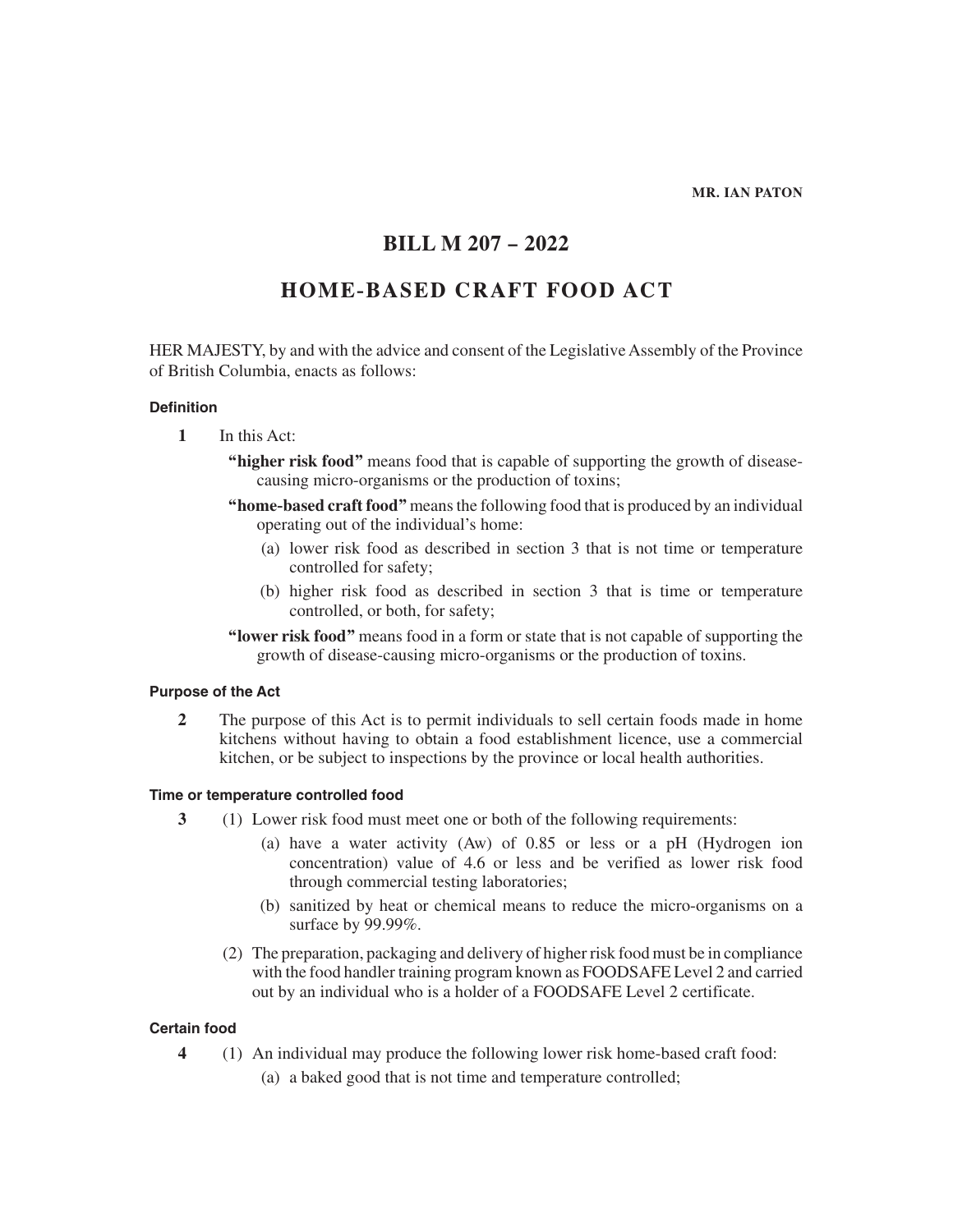#### **MR. IAN PATON**

### **BILL M 207 – 2022**

### **HOME-BASED CRAFT FOOD ACT**

HER MAJESTY, by and with the advice and consent of the Legislative Assembly of the Province of British Columbia, enacts as follows:

#### **Definition**

- **1** In this Act:
	- **"higher risk food"** means food that is capable of supporting the growth of diseasecausing micro-organisms or the production of toxins;
	- **"home-based craft food"** means the following food that is produced by an individual operating out of the individual's home:
		- (a) lower risk food as described in section 3 that is not time or temperature controlled for safety;
		- (b) higher risk food as described in section 3 that is time or temperature controlled, or both, for safety;
	- **"lower risk food"** means food in a form or state that is not capable of supporting the growth of disease-causing micro-organisms or the production of toxins.

#### **Purpose of the Act**

**2** The purpose of this Act is to permit individuals to sell certain foods made in home kitchens without having to obtain a food establishment licence, use a commercial kitchen, or be subject to inspections by the province or local health authorities.

#### **Time or temperature controlled food**

- **3** (1) Lower risk food must meet one or both of the following requirements:
	- (a) have a water activity (Aw) of 0.85 or less or a pH (Hydrogen ion concentration) value of 4.6 or less and be verified as lower risk food through commercial testing laboratories;
	- (b) sanitized by heat or chemical means to reduce the micro-organisms on a surface by 99.99%.
	- (2) The preparation, packaging and delivery of higher risk food must be in compliance with the food handler training program known as FOODSAFE Level 2 and carried out by an individual who is a holder of a FOODSAFE Level 2 certificate.

#### **Certain food**

**4** (1) An individual may produce the following lower risk home-based craft food: (a) a baked good that is not time and temperature controlled;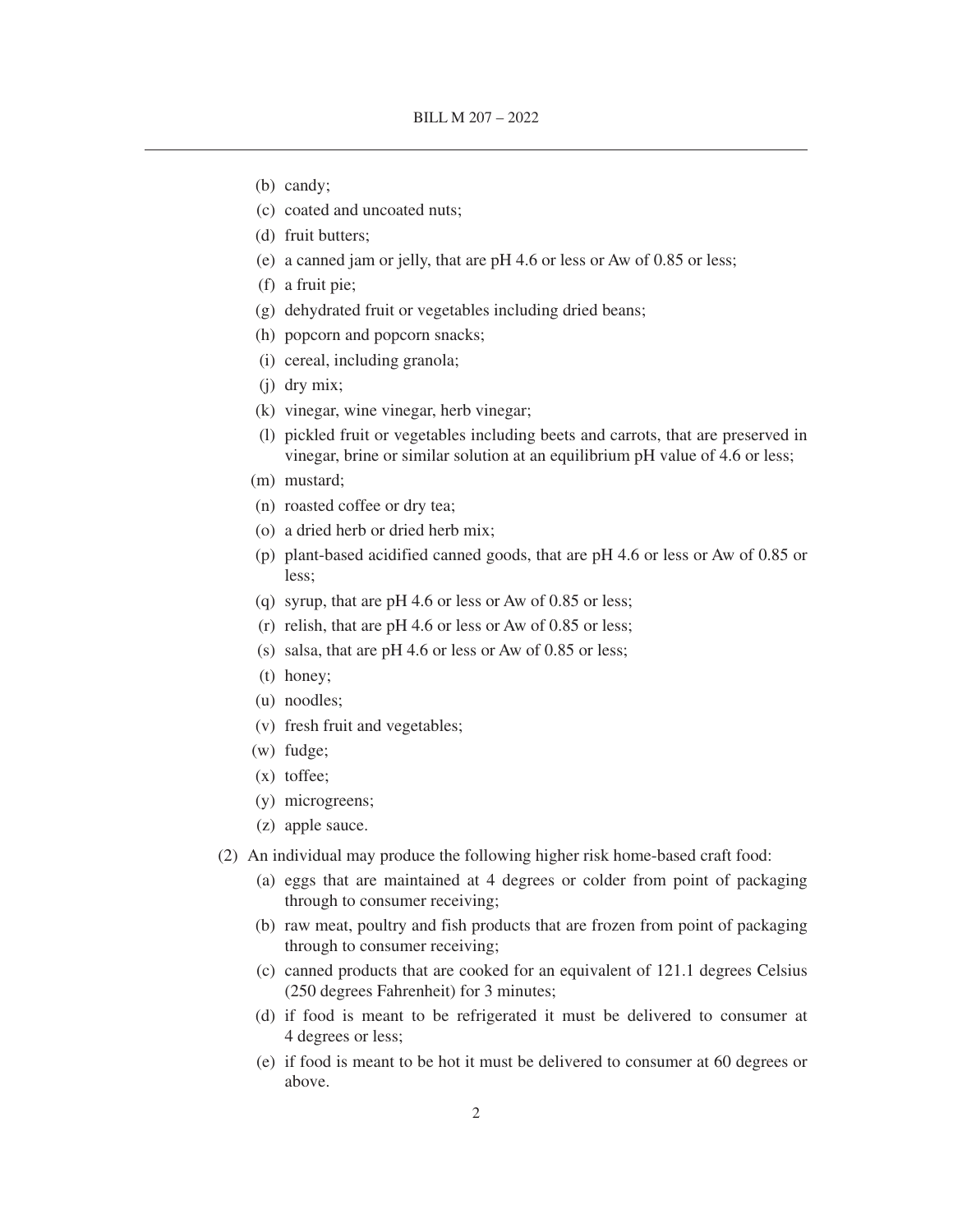- (b) candy;
- (c) coated and uncoated nuts;
- (d) fruit butters;
- (e) a canned jam or jelly, that are pH 4.6 or less or Aw of 0.85 or less;
- (f) a fruit pie;
- (g) dehydrated fruit or vegetables including dried beans;
- (h) popcorn and popcorn snacks;
- (i) cereal, including granola;
- (j) dry mix;
- (k) vinegar, wine vinegar, herb vinegar;
- (l) pickled fruit or vegetables including beets and carrots, that are preserved in vinegar, brine or similar solution at an equilibrium pH value of 4.6 or less;
- (m) mustard;
- (n) roasted coffee or dry tea;
- (o) a dried herb or dried herb mix;
- (p) plant-based acidified canned goods, that are pH 4.6 or less or Aw of 0.85 or less;
- (q) syrup, that are pH 4.6 or less or Aw of 0.85 or less;
- (r) relish, that are pH 4.6 or less or Aw of 0.85 or less;
- (s) salsa, that are pH 4.6 or less or Aw of 0.85 or less;
- (t) honey;
- (u) noodles;
- (v) fresh fruit and vegetables;
- (w) fudge;
- (x) toffee;
- (y) microgreens;
- (z) apple sauce.
- (2) An individual may produce the following higher risk home-based craft food:
	- (a) eggs that are maintained at 4 degrees or colder from point of packaging through to consumer receiving;
	- (b) raw meat, poultry and fish products that are frozen from point of packaging through to consumer receiving;
	- (c) canned products that are cooked for an equivalent of 121.1 degrees Celsius (250 degrees Fahrenheit) for 3 minutes;
	- (d) if food is meant to be refrigerated it must be delivered to consumer at 4 degrees or less;
	- (e) if food is meant to be hot it must be delivered to consumer at 60 degrees or above.